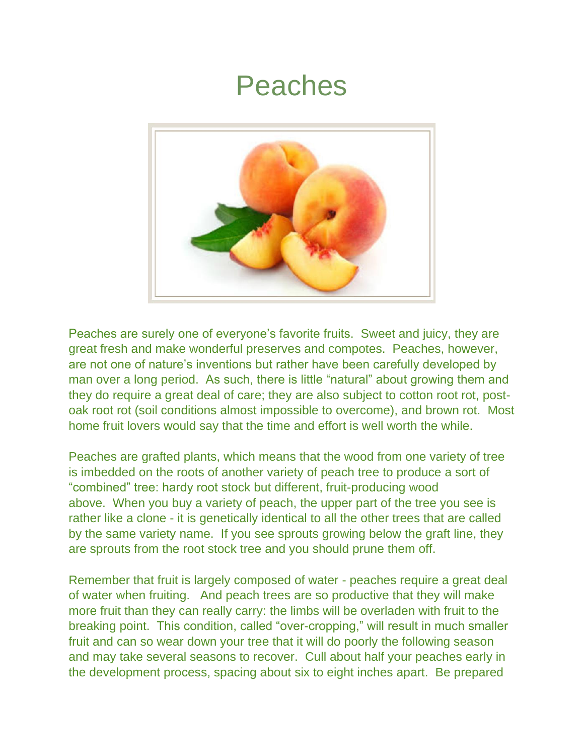## Peaches



Peaches are surely one of everyone's favorite fruits. Sweet and juicy, they are great fresh and make wonderful preserves and compotes. Peaches, however, are not one of nature's inventions but rather have been carefully developed by man over a long period. As such, there is little "natural" about growing them and they do require a great deal of care; they are also subject to cotton root rot, postoak root rot (soil conditions almost impossible to overcome), and brown rot. Most home fruit lovers would say that the time and effort is well worth the while.

Peaches are grafted plants, which means that the wood from one variety of tree is imbedded on the roots of another variety of peach tree to produce a sort of "combined" tree: hardy root stock but different, fruit-producing wood above. When you buy a variety of peach, the upper part of the tree you see is rather like a clone - it is genetically identical to all the other trees that are called by the same variety name. If you see sprouts growing below the graft line, they are sprouts from the root stock tree and you should prune them off.

Remember that fruit is largely composed of water - peaches require a great deal of water when fruiting. And peach trees are so productive that they will make more fruit than they can really carry: the limbs will be overladen with fruit to the breaking point. This condition, called "over-cropping," will result in much smaller fruit and can so wear down your tree that it will do poorly the following season and may take several seasons to recover. Cull about half your peaches early in the development process, spacing about six to eight inches apart. Be prepared